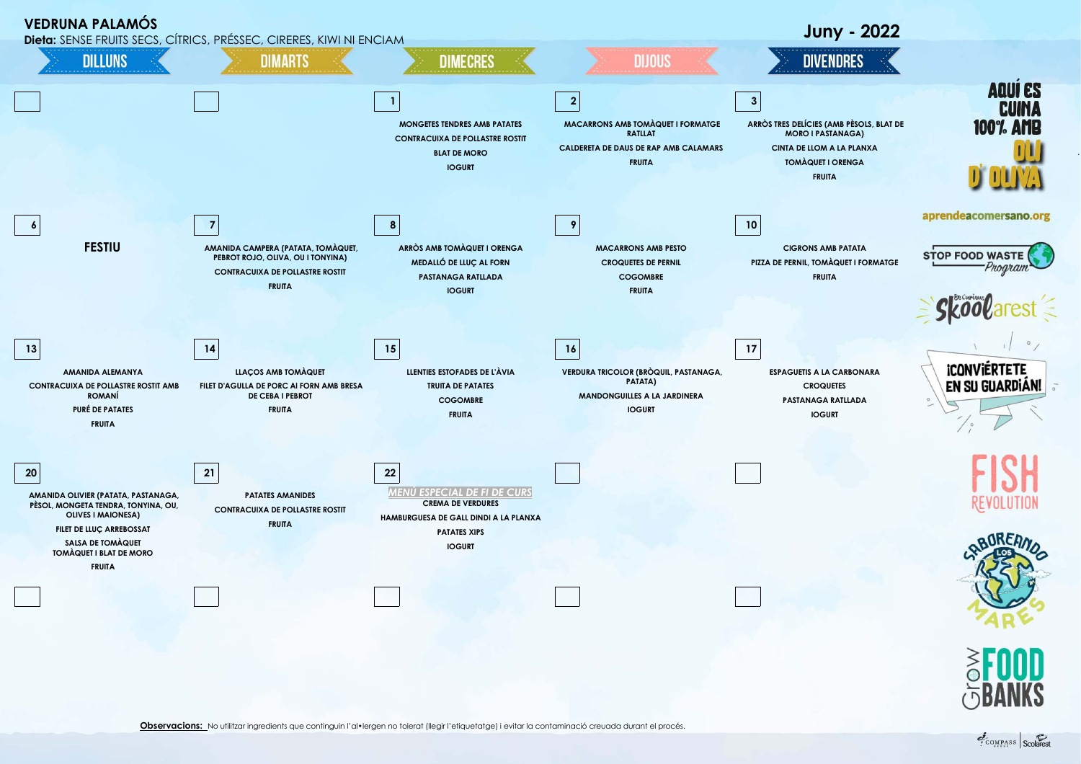